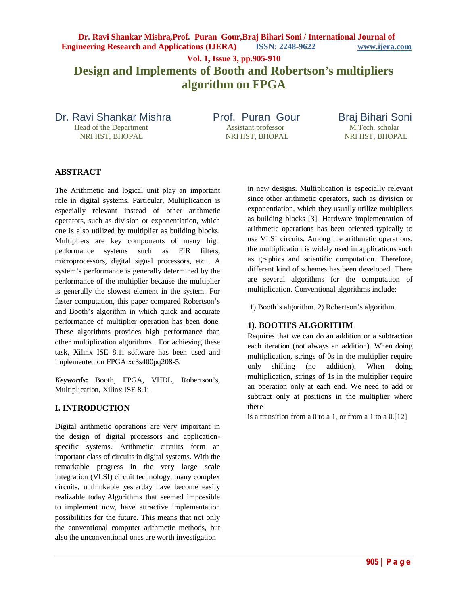**Dr. Ravi Shankar Mishra,Prof. Puran Gour,Braj Bihari Soni / International Journal of Engineering Research and Applications (IJERA) ISSN: 2248-9622 www.ijera.com Vol. 1, Issue 3, pp.905-910 Design and Implements of Booth and Robertson's multipliers algorithm on FPGA**

Dr. Ravi Shankar Mishra Prof. Puran Gour Braj Bihari Soni<br>Head of the Department Assistant professor M.Tech. scholar Head of the Department Assistant professor M.Tech. scholar M.Tech. scholar NRI IIST, BHOPAL NRI IIST, BHOPAL

NRI IIST, BHOPAL

## **ABSTRACT**

The Arithmetic and logical unit play an important role in digital systems. Particular, Multiplication is especially relevant instead of other arithmetic operators, such as division or exponentiation, which one is also utilized by multiplier as building blocks. Multipliers are key components of many high performance systems such as FIR filters, microprocessors, digital signal processors, etc . A system's performance is generally determined by the performance of the multiplier because the multiplier is generally the slowest element in the system. For faster computation, this paper compared Robertson's and Booth's algorithm in which quick and accurate performance of multiplier operation has been done. These algorithms provides high performance than other multiplication algorithms . For achieving these task, Xilinx ISE 8.1i software has been used and implemented on FPGA xc3s400pq208-5.

*Keywords***:** Booth, FPGA, VHDL, Robertson's, Multiplication, Xilinx ISE 8.1i

### **I. INTRODUCTION**

Digital arithmetic operations are very important in the design of digital processors and applicationspecific systems. Arithmetic circuits form an important class of circuits in digital systems. With the remarkable progress in the very large scale integration (VLSI) circuit technology, many complex circuits, unthinkable yesterday have become easily realizable today.Algorithms that seemed impossible to implement now, have attractive implementation possibilities for the future. This means that not only the conventional computer arithmetic methods, but also the unconventional ones are worth investigation

in new designs. Multiplication is especially relevant since other arithmetic operators, such as division or exponentiation, which they usually utilize multipliers as building blocks [3]. Hardware implementation of arithmetic operations has been oriented typically to use VLSI circuits. Among the arithmetic operations, the multiplication is widely used in applications such as graphics and scientific computation. Therefore, different kind of schemes has been developed. There are several algorithms for the computation of multiplication. Conventional algorithms include:

1) Booth's algorithm. 2) Robertson's algorithm.

## **1). BOOTH'S ALGORITHM**

Requires that we can do an addition or a subtraction each iteration (not always an addition). When doing multiplication, strings of 0s in the multiplier require only shifting (no addition). When doing multiplication, strings of 1s in the multiplier require an operation only at each end. We need to add or subtract only at positions in the multiplier where there

is a transition from a  $0$  to a  $1$ , or from a  $1$  to a  $0.121$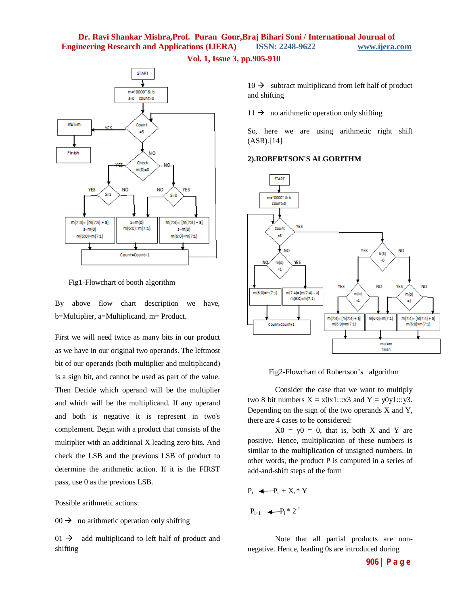



Fig1-Flowchart of booth algorithm

By above flow chart description we have, b=Multiplier, a=Multiplicand, m= Product.

First we will need twice as many bits in our product as we have in our original two operands. The leftmost bit of our operands (both multiplier and multiplicand) is a sign bit, and cannot be used as part of the value. Then Decide which operand will be the multiplier and which will be the multiplicand. If any operand and both is negative it is represent in two's complement. Begin with a product that consists of the multiplier with an additional X leading zero bits. And check the LSB and the previous LSB of product to determine the arithmetic action. If it is the FIRST pass, use 0 as the previous LSB.

Possible arithmetic actions:

 $00 \rightarrow$  no arithmetic operation only shifting

 $01 \rightarrow$  add multiplicand to left half of product and shifting

 $10 \rightarrow$  subtract multiplicand from left half of product and shifting

 $11 \rightarrow$  no arithmetic operation only shifting

So, here we are using arithmetic right shift (ASR).[14]

### **2).ROBERTSON'S ALGORITHM**



Fig2-Flowchart of Robertson's algorithm

Consider the case that we want to multiply two 8 bit numbers  $X = x0x1::x3$  and  $Y = y0y1::y3$ . Depending on the sign of the two operands X and Y, there are 4 cases to be considered:

 $X0 = y0 = 0$ , that is, both X and Y are positive. Hence, multiplication of these numbers is similar to the multiplication of unsigned numbers. In other words, the product P is computed in a series of add-and-shift steps of the form

$$
P_i \quad \blacktriangleleft \neg P_i + X_i * Y
$$

$$
P_{i+1} \quad \blacktriangleleft P_i * 2^{-1}
$$

Note that all partial products are nonnegative. Hence, leading 0s are introduced during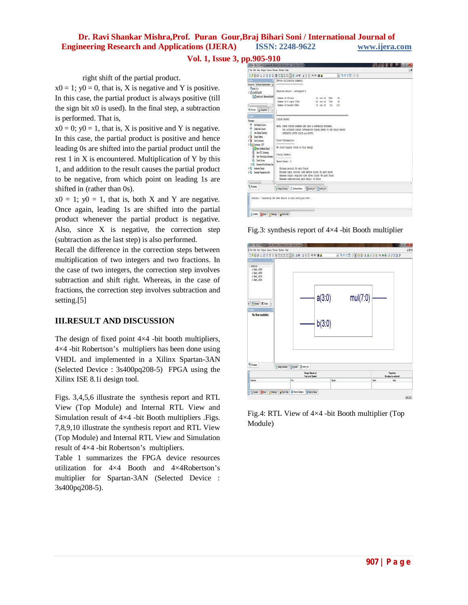**Vol. 1, Issue 3, pp.905-910**

right shift of the partial product.

 $x0 = 1$ ;  $y0 = 0$ , that is, X is negative and Y is positive. In this case, the partial product is always positive (till the sign bit x0 is used). In the final step, a subtraction is performed. That is,

 $x0 = 0$ ;  $y0 = 1$ , that is, X is positive and Y is negative. In this case, the partial product is positive and hence leading 0s are shifted into the partial product until the rest 1 in X is encountered. Multiplication of Y by this 1, and addition to the result causes the partial product to be negative, from which point on leading 1s are shifted in (rather than 0s).

 $x0 = 1$ ;  $y0 = 1$ , that is, both X and Y are negative. Once again, leading 1s are shifted into the partial product whenever the partial product is negative. Also, since X is negative, the correction step (subtraction as the last step) is also performed.

Recall the difference in the correction steps between multiplication of two integers and two fractions. In the case of two integers, the correction step involves subtraction and shift right. Whereas, in the case of fractions, the correction step involves subtraction and setting.[5]

## **III.RESULT AND DISCUSSION**

The design of fixed point  $4\times4$  -bit booth multipliers, 4×4 -bit Robertson's multipliers has been done using VHDL and implemented in a Xilinx Spartan-3AN (Selected Device : 3s400pq208-5) FPGA using the Xilinx ISE 8.1i design tool.

Figs. 3,4,5,6 illustrate the synthesis report and RTL View (Top Module) and Internal RTL View and Simulation result of 4×4 -bit Booth multipliers .Figs. 7,8,9,10 illustrate the synthesis report and RTL View (Top Module) and Internal RTL View and Simulation result of 4×4 -bit Robertson's multipliers.

Table 1 summarizes the FPGA device resources utilization for 4×4 Booth and 4×4Robertson's multiplier for Spartan-3AN (Selected Device : 3s400pq208-5).



Fig.3: synthesis report of  $4\times4$  -bit Booth multiplier



Fig.4: RTL View of 4×4 -bit Booth multiplier (Top Module)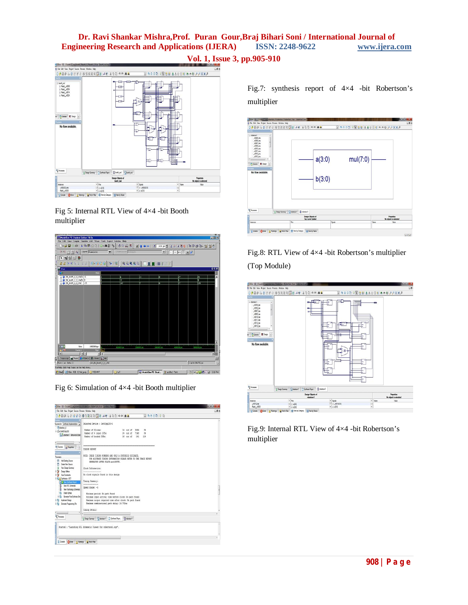

Fig 5: Internal RTL View of 4×4 -bit Booth multiplier



Fig 6: Simulation of 4×4 -bit Booth multiplier



Fig.7: synthesis report of 4×4 -bit Robertson's multiplier



Fig.8: RTL View of 4×4 -bit Robertson's multiplier (Top Module)



Fig.9: Internal RTL View of 4×4 -bit Robertson's multiplier

# **Vol. 1, Issue 3, pp.905-910**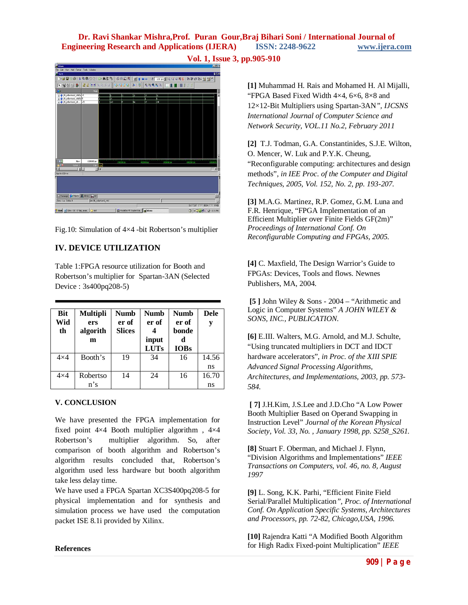**Vol. 1, Issue 3, pp.905-910**



Fig.10: Simulation of 4×4 -bit Robertson's multiplier

# **IV. DEVICE UTILIZATION**

Table 1:FPGA resource utilization for Booth and Robertson's multiplier for Spartan-3AN (Selected Device : 3s400pq208-5)

| <b>Bit</b><br>Wid<br>th | <b>Multipli</b><br>ers<br>algorith<br>m | <b>Numb</b><br>er of<br><b>Slices</b> | <b>Numb</b><br>er of<br>input<br><b>LUTs</b> | <b>Numb</b><br>er of<br>bonde<br>d<br><b>IOBs</b> | <b>Dele</b><br>y |
|-------------------------|-----------------------------------------|---------------------------------------|----------------------------------------------|---------------------------------------------------|------------------|
| $4\times4$              | Booth's                                 | 19                                    | 34                                           | 16                                                | 14.56<br>ns      |
| $4\times4$              | Robertso<br>n's                         | 14                                    | 24                                           | 16                                                | 16.70<br>ns      |

### **V. CONCLUSION**

We have presented the FPGA implementation for fixed point 4×4 Booth multiplier algorithm , 4×4 Robertson's multiplier algorithm. So, after comparison of booth algorithm and Robertson's algorithm results concluded that, Robertson's algorithm used less hardware but booth algorithm take less delay time.

We have used a FPGA Spartan XC3S400pq208-5 for physical implementation and for synthesis and simulation process we have used the computation packet ISE 8.1i provided by Xilinx.

**[1]** Muhammad H. Rais and Mohamed H. Al Mijalli, "FPGA Based Fixed Width  $4\times4$ ,  $6\times6$ ,  $8\times8$  and 12×12-Bit Multipliers using Spartan-3AN*", IJCSNS International Journal of Computer Science and Network Security, VOL.11 No.2, February 2011*

**[2]** T.J. Todman, G.A. Constantinides, S.J.E. Wilton, O. Mencer, W. Luk and P.Y.K. Cheung, "Reconfigurable computing: architectures and design methods", *in IEE Proc. of the Computer and Digital Techniques, 2005, Vol. 152, No. 2, pp. 193-207.*

**[3]** M.A.G. Martinez, R.P. Gomez, G.M. Luna and F.R. Henrique, "FPGA Implementation of an Efficient Multiplier over Finite Fields GF(2m)" *Proceedings of International Conf. On Reconfigurable Computing and FPGAs, 2005.* 

**[4]** C. Maxfield, The Design Warrior's Guide to FPGAs: Devices, Tools and flows. Newnes Publishers, MA, 2004.

**[5 ]** John Wiley & Sons - 2004 – "Arithmetic and Logic in Computer Systems" *A JOHN WILEY & SONS, INC., PUBLICATION.* 

**[6]** E.III. Walters, M.G. Arnold, and M.J. Schulte, "Using truncated multipliers in DCT and IDCT hardware accelerators", *in Proc. of the XIII SPIE Advanced Signal Processing Algorithms, Architectures, and Implementations, 2003, pp. 573- 584.*

**[ 7]** J.H.Kim, J.S.Lee and J.D.Cho "A Low Power Booth Multiplier Based on Operand Swapping in Instruction Level" *Journal of the Korean Physical Society, Vol. 33, No. , January 1998, pp. S258\_S261.* 

**[8]** Stuart F. Oberman, and Michael J. Flynn, "Division Algorithms and Implementations" *IEEE Transactions on Computers, vol. 46, no. 8, August 1997*

**[9]** L. Song, K.K. Parhi, "Efficient Finite Field Serial/Parallel Multiplication*", Proc. of International Conf. On Application Specific Systems, Architectures and Processors, pp. 72-82, Chicago,USA, 1996.* 

**[10]** Rajendra Katti "A Modified Booth Algorithm for High Radix Fixed-point Multiplication" *IEEE* 

#### **References**